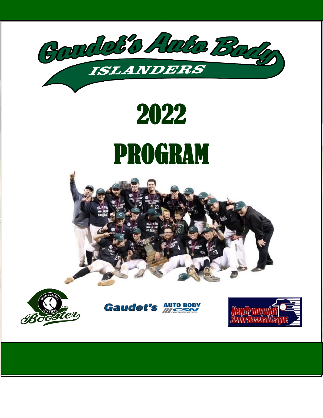

# 2022 PROGRAM







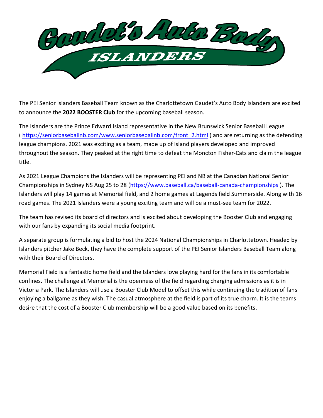

The PEI Senior Islanders Baseball Team known as the Charlottetown Gaudet's Auto Body Islanders are excited to announce the **2022 BOOSTER Club** for the upcoming baseball season.

The Islanders are the Prince Edward Island representative in the New Brunswick Senior Baseball League (https://seniorbaseballnb.com/www.seniorbaseballnb.com/front 2.html) and are returning as the defending league champions. 2021 was exciting as a team, made up of Island players developed and improved throughout the season. They peaked at the right time to defeat the Moncton Fisher-Cats and claim the league title.

As 2021 League Champions the Islanders will be representing PEI and NB at the Canadian National Senior Championships in Sydney NS Aug 25 to 28 [\(https://www.baseball.ca/baseball-canada-championships](https://www.baseball.ca/baseball-canada-championships) ). The Islanders will play 14 games at Memorial field, and 2 home games at Legends field Summerside. Along with 16 road games. The 2021 Islanders were a young exciting team and will be a must-see team for 2022.

The team has revised its board of directors and is excited about developing the Booster Club and engaging with our fans by expanding its social media footprint.

A separate group is formulating a bid to host the 2024 National Championships in Charlottetown. Headed by Islanders pitcher Jake Beck, they have the complete support of the PEI Senior Islanders Baseball Team along with their Board of Directors.

Memorial Field is a fantastic home field and the Islanders love playing hard for the fans in its comfortable confines. The challenge at Memorial is the openness of the field regarding charging admissions as it is in Victoria Park. The Islanders will use a Booster Club Model to offset this while continuing the tradition of fans enjoying a ballgame as they wish. The casual atmosphere at the field is part of its true charm. It is the teams desire that the cost of a Booster Club membership will be a good value based on its benefits.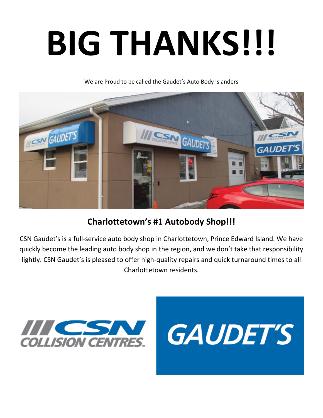# **BIG THANKS!!!**

We are Proud to be called the Gaudet's Auto Body Islanders



#### **Charlottetown's #1 Autobody Shop!!!**

CSN Gaudet's is a full-service auto body shop in Charlottetown, Prince Edward Island. We have quickly become the leading auto body shop in the region, and we don't take that responsibility lightly. CSN Gaudet's is pleased to offer high-quality repairs and quick turnaround times to all Charlottetown residents.



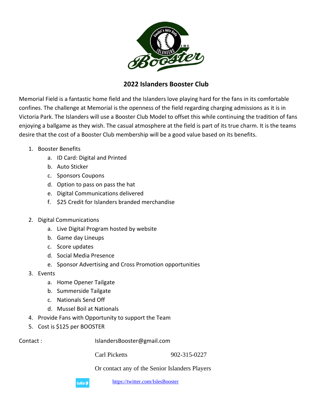

#### **2022 Islanders Booster Club**

Memorial Field is a fantastic home field and the Islanders love playing hard for the fans in its comfortable confines. The challenge at Memorial is the openness of the field regarding charging admissions as it is in Victoria Park. The Islanders will use a Booster Club Model to offset this while continuing the tradition of fans enjoying a ballgame as they wish. The casual atmosphere at the field is part of its true charm. It is the teams desire that the cost of a Booster Club membership will be a good value based on its benefits.

- 1. Booster Benefits
	- a. ID Card: Digital and Printed
	- b. Auto Sticker
	- c. Sponsors Coupons
	- d. Option to pass on pass the hat
	- e. Digital Communications delivered
	- f. \$25 Credit for Islanders branded merchandise
- 2. Digital Communications
	- a. Live Digital Program hosted by website
	- b. Game day Lineups
	- c. Score updates
	- d. Social Media Presence
	- e. Sponsor Advertising and Cross Promotion opportunities
- 3. Events
	- a. Home Opener Tailgate
	- b. Summerside Tailgate
	- c. Nationals Send Off
	- d. Mussel Boil at Nationals
- 4. Provide Fans with Opportunity to support the Team
- 5. Cost is \$125 per BOOSTER

Contact : IslandersBooster@gmail.com

Carl Picketts 902-315-0227

Or contact any of the Senior Islanders Players

twitter Y

<https://twitter.com/IslesBooster>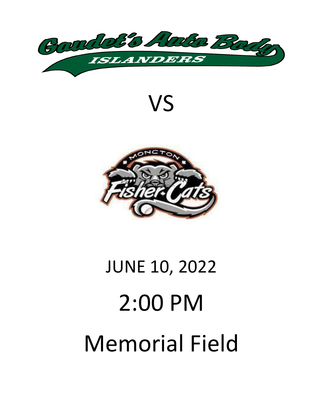

VS



# JUNE 10, 2022 2:00 PM Memorial Field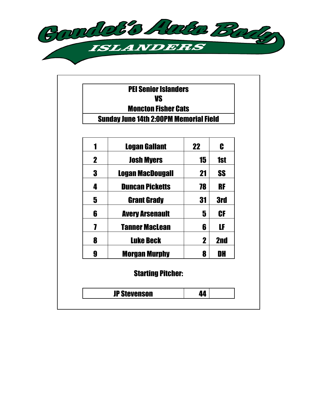

|             | <b>PEI Senior Islanders</b><br>VS             |    |            |
|-------------|-----------------------------------------------|----|------------|
|             | <b>Moncton Fisher Cats</b>                    |    |            |
|             | <b>Sunday June 14th 2:00PM Memorial Field</b> |    |            |
|             |                                               |    |            |
| 1           | <b>Logan Gallant</b>                          | 22 | C          |
| $\mathbf 2$ | <b>Josh Myers</b>                             | 15 | <b>1st</b> |
| 3           | Logan MacDougall                              | 21 | <b>SS</b>  |
| 4           | <b>Duncan Picketts</b>                        | 78 | <b>RF</b>  |
| 5           | <b>Grant Grady</b>                            | 31 | <b>3rd</b> |
| 6           | <b>Avery Arsenault</b>                        | 5  | <b>CF</b>  |
| 7           | <b>Tanner MacLean</b>                         | 6  | LF         |
| 8           | <b>Luke Beck</b>                              | 2  | 2nd        |
| 9           | <b>Morgan Murphy</b>                          | 8  | DH         |
|             | <b>Starting Pitcher:</b>                      |    |            |
|             | <b>JP Stevenson</b>                           | 44 |            |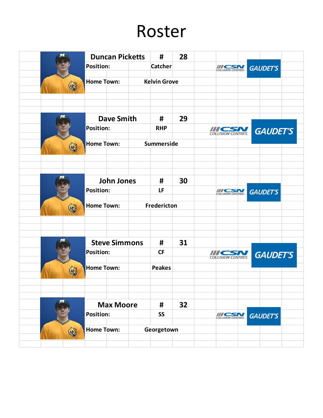## Roster

|             | <b>Duncan Picketts</b>                | #                          | 28 |                           |                 |
|-------------|---------------------------------------|----------------------------|----|---------------------------|-----------------|
|             | <b>Position:</b>                      | <b>Catcher</b>             |    | <b>EQUISION CENTRES.</b>  | <b>GAUDET'S</b> |
| <b>CENT</b> | <b>Home Town:</b>                     | <b>Kelvin Grove</b>        |    |                           |                 |
|             | <b>Dave Smith</b><br><b>Position:</b> | #<br><b>RHP</b>            | 29 | <b>COLLISION CENTRES.</b> | <b>GAUDET'S</b> |
|             | <b>Home Town:</b>                     | Summerside                 |    |                           |                 |
|             | <b>John Jones</b>                     | #                          | 30 |                           |                 |
|             | <b>Position:</b><br><b>Home Town:</b> | LF<br>Fredericton          |    | <b>COLLISION CENTRES</b>  | <b>GAUDET'S</b> |
|             | <b>Steve Simmons</b>                  | #                          | 31 |                           |                 |
|             | <b>Position:</b><br><b>Home Town:</b> | <b>CF</b><br><b>Peakes</b> |    | <b>COLLISION CENTRES.</b> | <b>GAUDET'S</b> |
|             | <b>Max Moore</b><br><b>Position:</b>  | #<br><b>SS</b>             | 32 | <b>COLLISION CENTRES</b>  | GAUDET'S        |
| (F)         | <b>Home Town:</b>                     | Georgetown                 |    |                           |                 |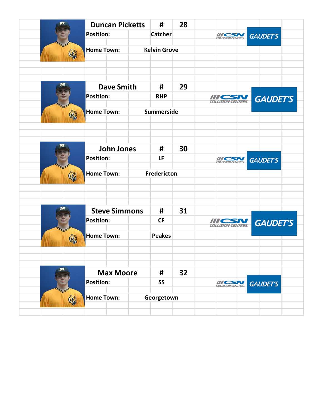|   | <b>Duncan Picketts</b>                |  | #                   | 28 |                           |                 |  |
|---|---------------------------------------|--|---------------------|----|---------------------------|-----------------|--|
|   | <b>Position:</b>                      |  | <b>Catcher</b>      |    | COLLISION CENTRES         | <b>GAUDET'S</b> |  |
|   | <b>Home Town:</b>                     |  | <b>Kelvin Grove</b> |    |                           |                 |  |
|   | <b>Dave Smith</b><br><b>Position:</b> |  | #<br><b>RHP</b>     | 29 |                           |                 |  |
|   | <b>Home Town:</b>                     |  | Summerside          |    | <b>COLLISION CENTRES.</b> | <b>GAUDET'S</b> |  |
|   | <b>John Jones</b><br><b>Position:</b> |  | #<br>LF             | 30 | COLLISION CENTRES         | <b>GAUDET'S</b> |  |
|   | <b>Home Town:</b>                     |  | Fredericton         |    |                           |                 |  |
|   | <b>Steve Simmons</b>                  |  | #<br><b>CF</b>      | 31 |                           |                 |  |
|   | <b>Position:</b><br><b>Home Town:</b> |  | <b>Peakes</b>       |    | <b>COLLISION GENTRES</b>  | <b>GAUDET'S</b> |  |
|   | <b>Max Moore</b><br><b>Position:</b>  |  | #<br><b>SS</b>      | 32 | COLLISION CENTRES         | <b>GAUDET'S</b> |  |
| 信 | <b>Home Town:</b>                     |  | Georgetown          |    |                           |                 |  |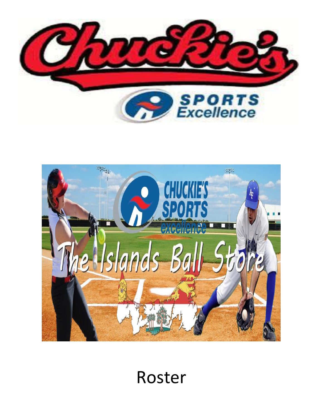



## Roster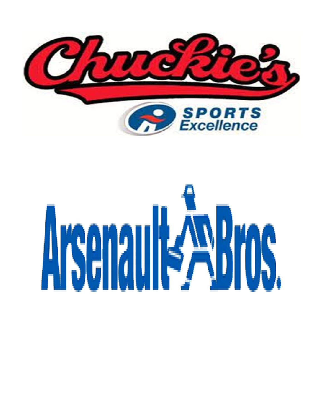

# Arenault ABros.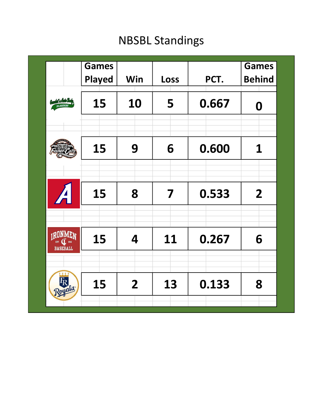### NBSBL Standings

|                                 | <b>Games</b>  |                |      |       | <b>Games</b>   |
|---------------------------------|---------------|----------------|------|-------|----------------|
|                                 | <b>Played</b> | Win            | Loss | PCT.  | <b>Behind</b>  |
| del e Auto Ba                   | 15            | 10             | 5    | 0.667 | 0              |
|                                 |               |                |      |       |                |
|                                 | 15            | 9              | 6    | 0.600 | 1              |
| $\overline{\mathcal{A}}$        | 15            | 8              | 7    | 0.533 | 2 <sup>1</sup> |
| <sub>I</sub> RONME <sub>N</sub> |               |                |      |       |                |
| <b>BASEBALL</b>                 | 15            | 4              | 11   | 0.267 | 6              |
| Royals                          | 15            | $\overline{2}$ | 13   | 0.133 | 8              |
|                                 |               |                |      |       |                |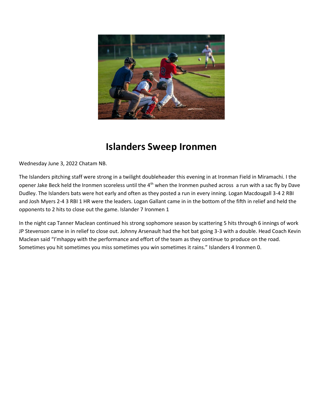

#### **Islanders Sweep Ironmen**

Wednesday June 3, 2022 Chatam NB.

The Islanders pitching staff were strong in a twilight doubleheader this evening in at Ironman Field in Miramachi. I the opener Jake Beck held the Ironmen scoreless until the 4<sup>th</sup> when the Ironmen pushed across a run with a sac fly by Dave Dudley. The Islanders bats were hot early and often as they posted a run in every inning. Logan Macdougall 3-4 2 RBI and Josh Myers 2-4 3 RBI 1 HR were the leaders. Logan Gallant came in in the bottom of the fifth in relief and held the opponents to 2 hits to close out the game. Islander 7 Ironmen 1

In the night cap Tanner Maclean continued his strong sophomore season by scattering 5 hits through 6 innings of work JP Stevenson came in in relief to close out. Johnny Arsenault had the hot bat going 3-3 with a double. Head Coach Kevin Maclean said "I'mhappy with the performance and effort of the team as they continue to produce on the road. Sometimes you hit sometimes you miss sometimes you win sometimes it rains." Islanders 4 Ironmen 0.